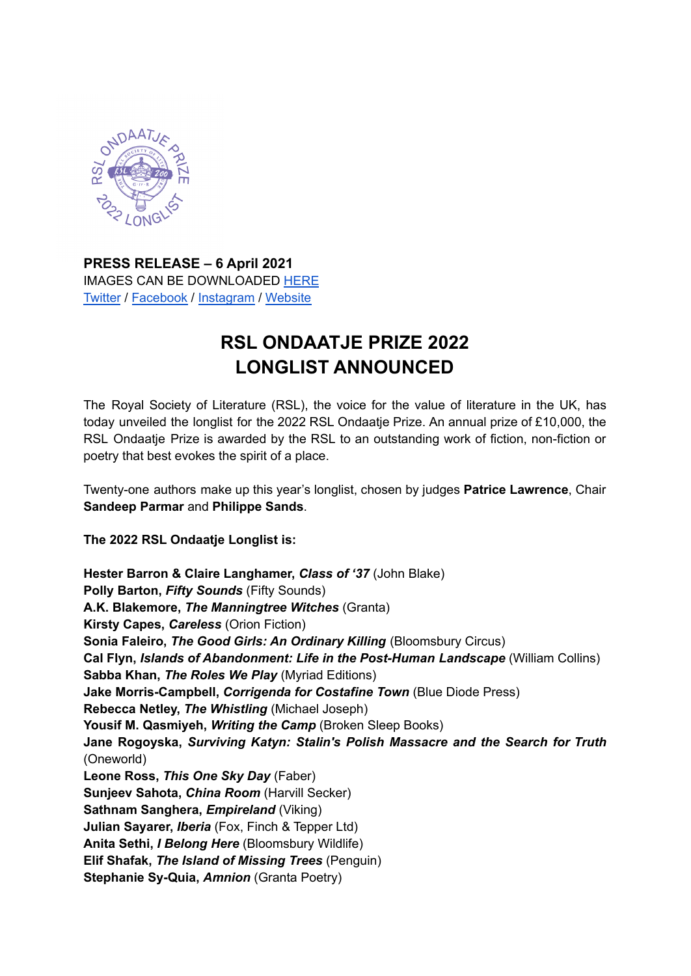

**PRESS RELEASE – 6 April 2021** IMAGES CAN BE DOWNLOADED [HERE](https://drive.google.com/drive/folders/1OLf09fEG30v4PVex7Uo-5noiXEjCAy8-?usp=sharing) [Twitter](https://twitter.com/RSLiterature) / [Facebook](https://www.facebook.com/RoyalSocietyLiterature/) / [Instagram](https://www.instagram.com/royalsocietyofliterature/?hl=en) / [Website](https://rsliterature.org/)

# **RSL ONDAATJE PRIZE 2022 LONGLIST ANNOUNCED**

The Royal Society of Literature (RSL), the voice for the value of literature in the UK, has today unveiled the longlist for the 2022 RSL Ondaatje Prize. An annual prize of £10,000, the RSL Ondaatje Prize is awarded by the RSL to an outstanding work of fiction, non-fiction or poetry that best evokes the spirit of a place.

Twenty-one authors make up this year's longlist, chosen by judges **Patrice Lawrence**, Chair **Sandeep Parmar** and **Philippe Sands**.

## **The 2022 RSL Ondaatje Longlist is:**

**Hester Barron & Claire Langhamer,** *Class of '37* (John Blake) **Polly Barton,** *Fifty Sounds* (Fifty Sounds) **A.K. Blakemore,** *The Manningtree Witches* (Granta) **Kirsty Capes,** *Careless* (Orion Fiction) **Sonia Faleiro,** *The Good Girls: An Ordinary Killing* (Bloomsbury Circus) **Cal Flyn,** *Islands of Abandonment: Life in the Post-Human Landscape* (William Collins) **Sabba Khan,** *The Roles We Play* (Myriad Editions) **Jake Morris-Campbell,** *Corrigenda for Costafine Town* (Blue Diode Press) **Rebecca Netley,** *The Whistling* (Michael Joseph) **Yousif M. Qasmiyeh,** *Writing the Camp* (Broken Sleep Books) **Jane Rogoyska,** *Surviving Katyn: Stalin's Polish Massacre and the Search for Truth* (Oneworld) **Leone Ross,** *This One Sky Day* (Faber) **Sunjeev Sahota,** *China Room* (Harvill Secker) **Sathnam Sanghera,** *Empireland* (Viking) **Julian Sayarer,** *Iberia* (Fox, Finch & Tepper Ltd) **Anita Sethi,** *I Belong Here* (Bloomsbury Wildlife) **Elif Shafak,** *The Island of Missing Trees* (Penguin) **Stephanie Sy-Quia,** *Amnion* (Granta Poetry)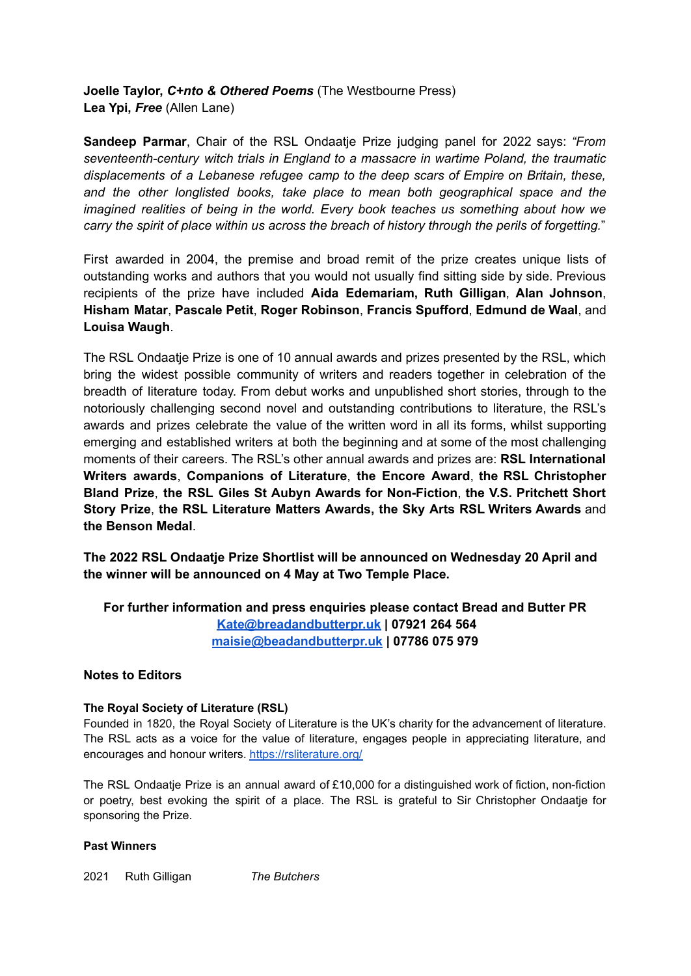## **Joelle Taylor,** *C+nto & Othered Poems* (The Westbourne Press) **Lea Ypi,** *Free* (Allen Lane)

**Sandeep Parmar**, Chair of the RSL Ondaatje Prize judging panel for 2022 says: *"From seventeenth-century witch trials in England to a massacre in wartime Poland, the traumatic displacements of a Lebanese refugee camp to the deep scars of Empire on Britain, these, and the other longlisted books, take place to mean both geographical space and the imagined realities of being in the world. Every book teaches us something about how we carry the spirit of place within us across the breach of history through the perils of forgetting.*"

First awarded in 2004, the premise and broad remit of the prize creates unique lists of outstanding works and authors that you would not usually find sitting side by side. Previous recipients of the prize have included **Aida Edemariam, Ruth Gilligan**, **Alan Johnson**, **Hisham Matar**, **Pascale Petit**, **Roger Robinson**, **Francis Spufford**, **Edmund de Waal**, and **Louisa Waugh**.

The RSL Ondaatje Prize is one of 10 annual awards and prizes presented by the RSL, which bring the widest possible community of writers and readers together in celebration of the breadth of literature today. From debut works and unpublished short stories, through to the notoriously challenging second novel and outstanding contributions to literature, the RSL's awards and prizes celebrate the value of the written word in all its forms, whilst supporting emerging and established writers at both the beginning and at some of the most challenging moments of their careers. The RSL's other annual awards and prizes are: **RSL International Writers awards**, **Companions of Literature**, **the Encore Award**, **the RSL Christopher Bland Prize**, **the RSL Giles St Aubyn Awards for Non-Fiction**, **the V.S. Pritchett Short Story Prize**, **the RSL Literature Matters Awards, the Sky Arts RSL Writers Awards** and **the Benson Medal**.

**The 2022 RSL Ondaatje Prize Shortlist will be announced on Wednesday 20 April and the winner will be announced on 4 May at Two Temple Place.**

**For further information and press enquiries please contact Bread and Butter PR [Kate@breadandbutterpr.uk](mailto:Kate@breadandbutterpr.uk) | 07921 264 564 [maisie@beadandbutterpr.uk](mailto:maisie@beadandbutterpr.uk) | 07786 075 979**

## **Notes to Editors**

#### **The Royal Society of Literature (RSL)**

Founded in 1820, the Royal Society of Literature is the UK's charity for the advancement of literature. The RSL acts as a voice for the value of literature, engages people in appreciating literature, and encourages and honour writers. <https://rsliterature.org/>

The RSL Ondaatje Prize is an annual award of £10,000 for a distinguished work of fiction, non-fiction or poetry, best evoking the spirit of a place. The RSL is grateful to Sir Christopher Ondaatje for sponsoring the Prize.

#### **Past Winners**

2021 Ruth Gilligan *The Butchers*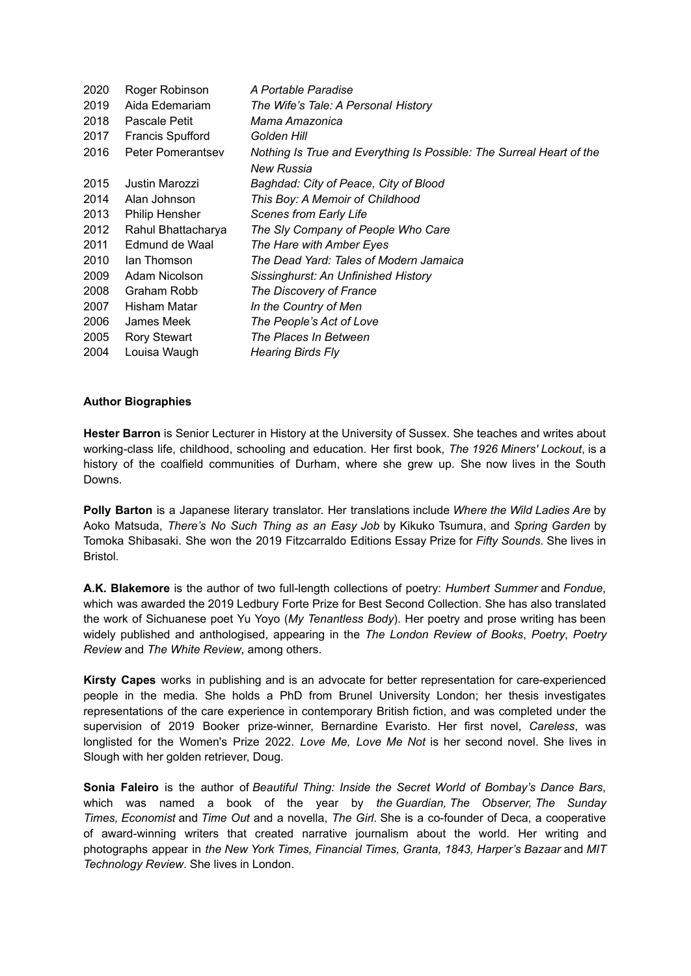| 2020 | Roger Robinson           | A Portable Paradise                                                                |
|------|--------------------------|------------------------------------------------------------------------------------|
| 2019 | Aida Edemariam           | The Wife's Tale: A Personal History                                                |
| 2018 | Pascale Petit            | Mama Amazonica                                                                     |
| 2017 | <b>Francis Spufford</b>  | Golden Hill                                                                        |
| 2016 | <b>Peter Pomerantsev</b> | Nothing Is True and Everything Is Possible: The Surreal Heart of the<br>New Russia |
| 2015 | Justin Marozzi           | Baghdad: City of Peace, City of Blood                                              |
| 2014 | Alan Johnson             | This Boy: A Memoir of Childhood                                                    |
| 2013 | <b>Philip Hensher</b>    | <b>Scenes from Early Life</b>                                                      |
| 2012 | Rahul Bhattacharya       | The Sly Company of People Who Care                                                 |
| 2011 | Edmund de Waal           | The Hare with Amber Eyes                                                           |
| 2010 | lan Thomson              | The Dead Yard: Tales of Modern Jamaica                                             |
| 2009 | Adam Nicolson            | Sissinghurst: An Unfinished History                                                |
| 2008 | Graham Robb              | The Discovery of France                                                            |
| 2007 | Hisham Matar             | In the Country of Men                                                              |
| 2006 | James Meek               | The People's Act of Love                                                           |
| 2005 | Rory Stewart             | The Places In Between                                                              |
| 2004 | Louisa Waugh             | <b>Hearing Birds Fly</b>                                                           |

#### **Author Biographies**

**Hester Barron** is Senior Lecturer in History at the University of Sussex. She teaches and writes about working-class life, childhood, schooling and education. Her first book, *The 1926 Miners' Lockout*, is a history of the coalfield communities of Durham, where she grew up. She now lives in the South Downs.

**Polly Barton** is a Japanese literary translator. Her translations include *Where the Wild Ladies Are* by Aoko Matsuda, *There's No Such Thing as an Easy Job* by Kikuko Tsumura, and *Spring Garden* by Tomoka Shibasaki. She won the 2019 Fitzcarraldo Editions Essay Prize for *Fifty Sounds*. She lives in Bristol.

**A.K. Blakemore** is the author of two full-length collections of poetry: *Humbert Summer* and *Fondue*, which was awarded the 2019 Ledbury Forte Prize for Best Second Collection. She has also translated the work of Sichuanese poet Yu Yoyo (*My Tenantless Body*). Her poetry and prose writing has been widely published and anthologised, appearing in the *The London Review of Books*, *Poetry*, *Poetry Review* and *The White Review*, among others.

**Kirsty Capes** works in publishing and is an advocate for better representation for care-experienced people in the media. She holds a PhD from Brunel University London; her thesis investigates representations of the care experience in contemporary British fiction, and was completed under the supervision of 2019 Booker prize-winner, Bernardine Evaristo. Her first novel, *Careless*, was longlisted for the Women's Prize 2022. *Love Me, Love Me Not* is her second novel. She lives in Slough with her golden retriever, Doug.

**Sonia Faleiro** is the author of *Beautiful Thing: Inside the Secret World of Bombay's Dance Bars*, which was named a book of the year by *the Guardian, The Observer, The Sunday Times, Economist* and *Time Out* and a novella, *The Girl*. She is a co-founder of Deca, a cooperative of award-winning writers that created narrative journalism about the world. Her writing and photographs appear in *the New York Times, Financial Times, Granta, 1843, Harper's Bazaar* and *MIT Technology Review*. She lives in London.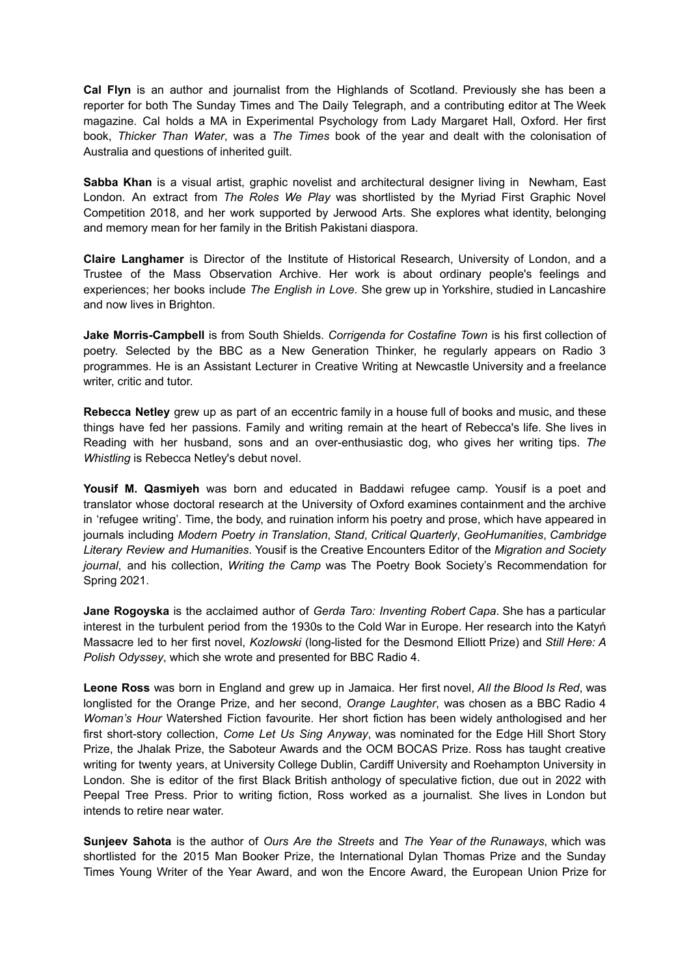**Cal Flyn** is an author and journalist from the Highlands of Scotland. Previously she has been a reporter for both The Sunday Times and The Daily Telegraph, and a contributing editor at The Week magazine. Cal holds a MA in Experimental Psychology from Lady Margaret Hall, Oxford. Her first book, *Thicker Than Water*, was a *The Times* book of the year and dealt with the colonisation of Australia and questions of inherited guilt.

**Sabba Khan** is a visual artist, graphic novelist and architectural designer living in Newham, East London. An extract from *The Roles We Play* was shortlisted by the Myriad First Graphic Novel Competition 2018, and her work supported by Jerwood Arts. She explores what identity, belonging and memory mean for her family in the British Pakistani diaspora.

**Claire Langhamer** is Director of the Institute of Historical Research, University of London, and a Trustee of the Mass Observation Archive. Her work is about ordinary people's feelings and experiences; her books include *The English in Love*. She grew up in Yorkshire, studied in Lancashire and now lives in Brighton.

**Jake Morris-Campbell** is from South Shields. *Corrigenda for Costafine Town* is his first collection of poetry. Selected by the BBC as a New Generation Thinker, he regularly appears on Radio 3 programmes. He is an Assistant Lecturer in Creative Writing at Newcastle University and a freelance writer, critic and tutor.

**Rebecca Netley** grew up as part of an eccentric family in a house full of books and music, and these things have fed her passions. Family and writing remain at the heart of Rebecca's life. She lives in Reading with her husband, sons and an over-enthusiastic dog, who gives her writing tips. *The Whistling* is Rebecca Netley's debut novel.

**Yousif M. Qasmiyeh** was born and educated in Baddawi refugee camp. Yousif is a poet and translator whose doctoral research at the University of Oxford examines containment and the archive in 'refugee writing'. Time, the body, and ruination inform his poetry and prose, which have appeared in journals including *Modern Poetry in Translation*, *Stand*, *Critical Quarterly*, *GeoHumanities*, *Cambridge Literary Review and Humanities*. Yousif is the Creative Encounters Editor of the *Migration and Society journal*, and his collection, *Writing the Camp* was The Poetry Book Society's Recommendation for Spring 2021.

**Jane Rogoyska** is the acclaimed author of *Gerda Taro: Inventing Robert Capa*. She has a particular interest in the turbulent period from the 1930s to the Cold War in Europe. Her research into the Katyń Massacre led to her first novel, *Kozlowski* (long-listed for the Desmond Elliott Prize) and *Still Here: A Polish Odyssey*, which she wrote and presented for BBC Radio 4.

**Leone Ross** was born in England and grew up in Jamaica. Her first novel, *All the Blood Is Red*, was longlisted for the Orange Prize, and her second, *Orange Laughter*, was chosen as a BBC Radio 4 *Woman's Hour* Watershed Fiction favourite. Her short fiction has been widely anthologised and her first short-story collection, *Come Let Us Sing Anyway*, was nominated for the Edge Hill Short Story Prize, the Jhalak Prize, the Saboteur Awards and the OCM BOCAS Prize. Ross has taught creative writing for twenty years, at University College Dublin, Cardiff University and Roehampton University in London. She is editor of the first Black British anthology of speculative fiction, due out in 2022 with Peepal Tree Press. Prior to writing fiction, Ross worked as a journalist. She lives in London but intends to retire near water.

**Sunjeev Sahota** is the author of *Ours Are the Streets* and *The Year of the Runaways*, which was shortlisted for the 2015 Man Booker Prize, the International Dylan Thomas Prize and the Sunday Times Young Writer of the Year Award, and won the Encore Award, the European Union Prize for